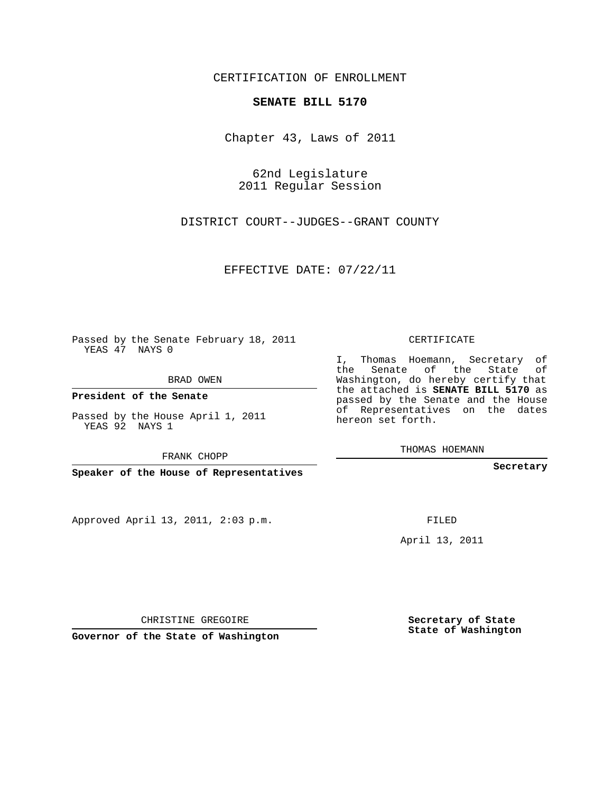## CERTIFICATION OF ENROLLMENT

## **SENATE BILL 5170**

Chapter 43, Laws of 2011

62nd Legislature 2011 Regular Session

DISTRICT COURT--JUDGES--GRANT COUNTY

EFFECTIVE DATE: 07/22/11

Passed by the Senate February 18, 2011 YEAS 47 NAYS 0

BRAD OWEN

**President of the Senate**

Passed by the House April 1, 2011 YEAS 92 NAYS 1

FRANK CHOPP

**Speaker of the House of Representatives**

Approved April 13, 2011, 2:03 p.m.

CERTIFICATE

I, Thomas Hoemann, Secretary of the Senate of the State of Washington, do hereby certify that the attached is **SENATE BILL 5170** as passed by the Senate and the House of Representatives on the dates hereon set forth.

THOMAS HOEMANN

**Secretary**

FILED

April 13, 2011

CHRISTINE GREGOIRE

**Governor of the State of Washington**

**Secretary of State State of Washington**